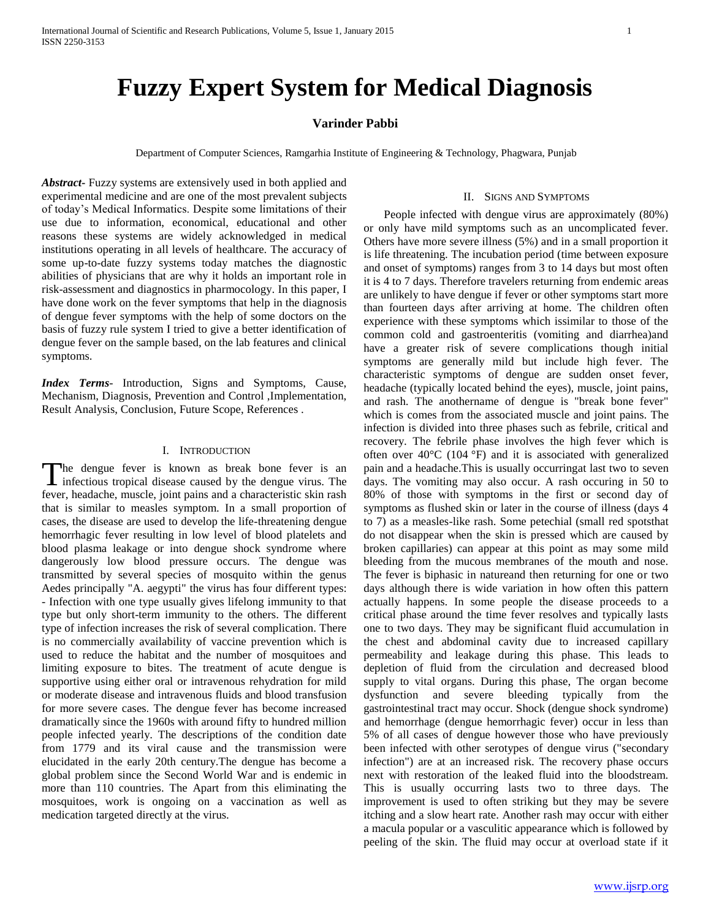# **Fuzzy Expert System for Medical Diagnosis**

# **Varinder Pabbi**

Department of Computer Sciences, Ramgarhia Institute of Engineering & Technology, Phagwara, Punjab

*Abstract***-** Fuzzy systems are extensively used in both applied and experimental medicine and are one of the most prevalent subjects of today's Medical Informatics. Despite some limitations of their use due to information, economical, educational and other reasons these systems are widely acknowledged in medical institutions operating in all levels of healthcare. The accuracy of some up-to-date fuzzy systems today matches the diagnostic abilities of physicians that are why it holds an important role in risk-assessment and diagnostics in pharmocology. In this paper, I have done work on the fever symptoms that help in the diagnosis of dengue fever symptoms with the help of some doctors on the basis of fuzzy rule system I tried to give a better identification of dengue fever on the sample based, on the lab features and clinical symptoms.

*Index Terms*- Introduction, Signs and Symptoms, Cause, Mechanism, Diagnosis, Prevention and Control ,Implementation, Result Analysis, Conclusion, Future Scope, References .

## I. INTRODUCTION

The dengue fever is known as break bone fever is an The dengue fever is known as break bone fever is an infectious tropical disease caused by the dengue virus. The fever, headache, muscle, joint pains and a characteristic skin rash that is similar to measles symptom. In a small proportion of cases, the disease are used to develop the life-threatening dengue hemorrhagic fever resulting in low level of blood platelets and blood plasma leakage or into dengue shock syndrome where dangerously low blood pressure occurs. The dengue was transmitted by several species of mosquito within the genus Aedes principally "A. aegypti" the virus has four different types: - Infection with one type usually gives lifelong immunity to that type but only short-term immunity to the others. The different type of infection increases the risk of several complication. There is no commercially availability of vaccine prevention which is used to reduce the habitat and the number of mosquitoes and limiting exposure to bites. The treatment of acute dengue is supportive using either oral or intravenous rehydration for mild or moderate disease and intravenous fluids and blood transfusion for more severe cases. The dengue fever has become increased dramatically since the 1960s with around fifty to hundred million people infected yearly. The descriptions of the condition date from 1779 and its viral cause and the transmission were elucidated in the early 20th century.The dengue has become a global problem since the Second World War and is endemic in more than 110 countries. The Apart from this eliminating the mosquitoes, work is ongoing on a vaccination as well as medication targeted directly at the virus.

#### II. SIGNS AND SYMPTOMS

 People infected with dengue virus are approximately (80%) or only have mild symptoms such as an uncomplicated fever. Others have more severe illness (5%) and in a small proportion it is life threatening. The incubation period (time between exposure and onset of symptoms) ranges from 3 to 14 days but most often it is 4 to 7 days. Therefore travelers returning from endemic areas are unlikely to have dengue if fever or other symptoms start more than fourteen days after arriving at home. The children often experience with these symptoms which issimilar to those of the common cold and gastroenteritis (vomiting and diarrhea)and have a greater risk of severe complications though initial symptoms are generally mild but include high fever. The characteristic symptoms of dengue are sudden onset fever, headache (typically located behind the eyes), muscle, joint pains, and rash. The anothername of dengue is "break bone fever" which is comes from the associated muscle and joint pains. The infection is divided into three phases such as febrile, critical and recovery. The febrile phase involves the high fever which is often over  $40^{\circ}$ C (104  $^{\circ}$ F) and it is associated with generalized pain and a headache.This is usually occurringat last two to seven days. The vomiting may also occur. A rash occuring in 50 to 80% of those with symptoms in the first or second day of symptoms as flushed skin or later in the course of illness (days 4 to 7) as a measles-like rash. Some petechial (small red spotsthat do not disappear when the skin is pressed which are caused by broken capillaries) can appear at this point as may some mild bleeding from the mucous membranes of the mouth and nose. The fever is biphasic in natureand then returning for one or two days although there is wide variation in how often this pattern actually happens. In some people the disease proceeds to a critical phase around the time fever resolves and typically lasts one to two days. They may be significant fluid accumulation in the chest and abdominal cavity due to increased capillary permeability and leakage during this phase. This leads to depletion of fluid from the circulation and decreased blood supply to vital organs. During this phase, The organ become dysfunction and severe bleeding typically from the gastrointestinal tract may occur. Shock (dengue shock syndrome) and hemorrhage (dengue hemorrhagic fever) occur in less than 5% of all cases of dengue however those who have previously been infected with other serotypes of dengue virus ("secondary infection") are at an increased risk. The recovery phase occurs next with restoration of the leaked fluid into the bloodstream. This is usually occurring lasts two to three days. The improvement is used to often striking but they may be severe itching and a slow heart rate. Another rash may occur with either a macula popular or a vasculitic appearance which is followed by peeling of the skin. The fluid may occur at overload state if it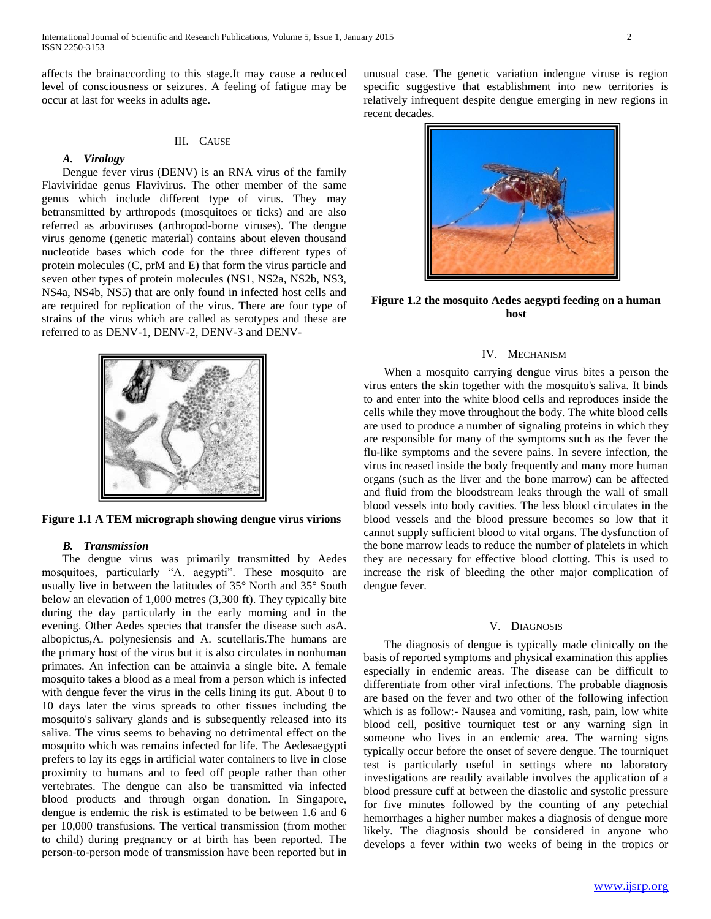affects the brainaccording to this stage.It may cause a reduced level of consciousness or seizures. A feeling of fatigue may be occur at last for weeks in adults age.

## III. CAUSE

## *A. Virology*

 Dengue fever virus (DENV) is an RNA virus of the family Flaviviridae genus Flavivirus. The other member of the same genus which include different type of virus. They may betransmitted by arthropods (mosquitoes or ticks) and are also referred as arboviruses (arthropod-borne viruses). The dengue virus genome (genetic material) contains about eleven thousand nucleotide bases which code for the three different types of protein molecules (C, prM and E) that form the virus particle and seven other types of protein molecules (NS1, NS2a, NS2b, NS3, NS4a, NS4b, NS5) that are only found in infected host cells and are required for replication of the virus. There are four type of strains of the virus which are called as serotypes and these are referred to as DENV-1, DENV-2, DENV-3 and DENV-



**Figure 1.1 A TEM micrograph showing dengue virus virions**

#### *B. Transmission*

 The dengue virus was primarily transmitted by Aedes mosquitoes, particularly "A. aegypti". These mosquito are usually live in between the latitudes of 35° North and 35° South below an elevation of 1,000 metres (3,300 ft). They typically bite during the day particularly in the early morning and in the evening. Other Aedes species that transfer the disease such asA. albopictus,A. polynesiensis and A. scutellaris.The humans are the primary host of the virus but it is also circulates in nonhuman primates. An infection can be attainvia a single bite. A female mosquito takes a blood as a meal from a person which is infected with dengue fever the virus in the cells lining its gut. About 8 to 10 days later the virus spreads to other tissues including the mosquito's salivary glands and is subsequently released into its saliva. The virus seems to behaving no detrimental effect on the mosquito which was remains infected for life. The Aedesaegypti prefers to lay its eggs in artificial water containers to live in close proximity to humans and to feed off people rather than other vertebrates. The dengue can also be transmitted via infected blood products and through organ donation. In Singapore, dengue is endemic the risk is estimated to be between 1.6 and 6 per 10,000 transfusions. The vertical transmission (from mother to child) during pregnancy or at birth has been reported. The person-to-person mode of transmission have been reported but in

unusual case. The genetic variation indengue viruse is region specific suggestive that establishment into new territories is relatively infrequent despite dengue emerging in new regions in recent decades.



**Figure 1.2 the mosquito Aedes aegypti feeding on a human host**

## IV. MECHANISM

 When a mosquito carrying dengue virus bites a person the virus enters the skin together with the mosquito's saliva. It binds to and enter into the white blood cells and reproduces inside the cells while they move throughout the body. The white blood cells are used to produce a number of signaling proteins in which they are responsible for many of the symptoms such as the fever the flu-like symptoms and the severe pains. In severe infection, the virus increased inside the body frequently and many more human organs (such as the liver and the bone marrow) can be affected and fluid from the bloodstream leaks through the wall of small blood vessels into body cavities. The less blood circulates in the blood vessels and the blood pressure becomes so low that it cannot supply sufficient blood to vital organs. The dysfunction of the bone marrow leads to reduce the number of platelets in which they are necessary for effective blood clotting. This is used to increase the risk of bleeding the other major complication of dengue fever.

## V. DIAGNOSIS

 The diagnosis of dengue is typically made clinically on the basis of reported symptoms and physical examination this applies especially in endemic areas. The disease can be difficult to differentiate from other viral infections. The probable diagnosis are based on the fever and two other of the following infection which is as follow:- Nausea and vomiting, rash, pain, low white blood cell, positive tourniquet test or any warning sign in someone who lives in an endemic area. The warning signs typically occur before the onset of severe dengue. The tourniquet test is particularly useful in settings where no laboratory investigations are readily available involves the application of a blood pressure cuff at between the diastolic and systolic pressure for five minutes followed by the counting of any petechial hemorrhages a higher number makes a diagnosis of dengue more likely. The diagnosis should be considered in anyone who develops a fever within two weeks of being in the tropics or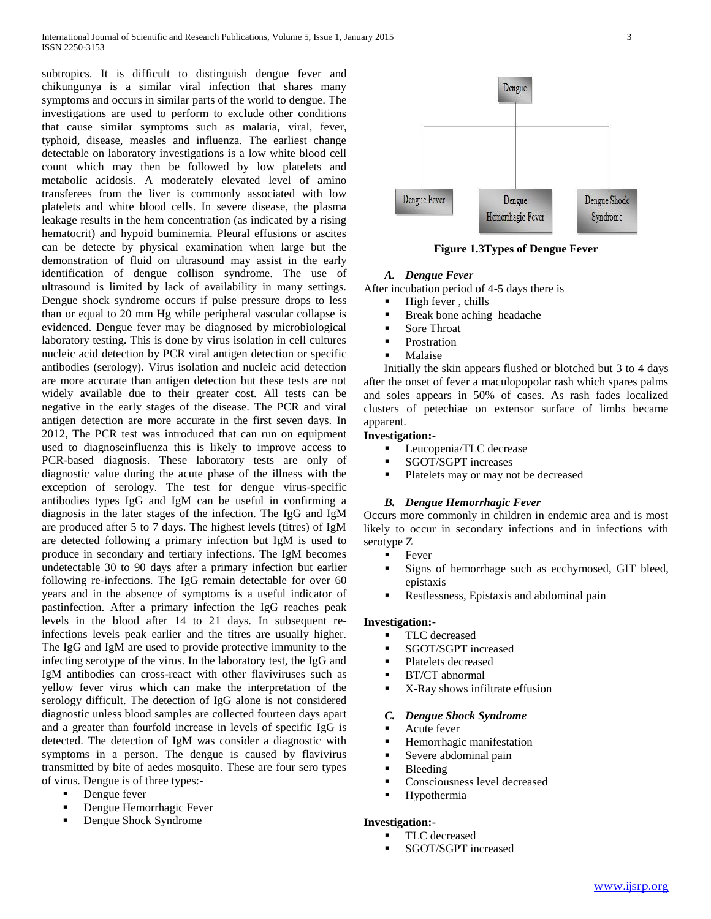subtropics. It is difficult to distinguish dengue fever and chikungunya is a similar viral infection that shares many symptoms and occurs in similar parts of the world to dengue. The investigations are used to perform to exclude other conditions that cause similar symptoms such as malaria, viral, fever, typhoid, disease, measles and influenza. The earliest change detectable on laboratory investigations is a low white blood cell count which may then be followed by low platelets and metabolic acidosis. A moderately elevated level of amino transferees from the liver is commonly associated with low platelets and white blood cells. In severe disease, the plasma leakage results in the hem concentration (as indicated by a rising hematocrit) and hypoid buminemia. Pleural effusions or ascites can be detecte by physical examination when large but the demonstration of fluid on ultrasound may assist in the early identification of dengue collison syndrome. The use of ultrasound is limited by lack of availability in many settings. Dengue shock syndrome occurs if pulse pressure drops to less than or equal to 20 mm Hg while peripheral vascular collapse is evidenced. Dengue fever may be diagnosed by microbiological laboratory testing. This is done by virus isolation in cell cultures nucleic acid detection by PCR viral antigen detection or specific antibodies (serology). Virus isolation and nucleic acid detection are more accurate than antigen detection but these tests are not widely available due to their greater cost. All tests can be negative in the early stages of the disease. The PCR and viral antigen detection are more accurate in the first seven days. In 2012, The PCR test was introduced that can run on equipment used to diagnoseinfluenza this is likely to improve access to PCR-based diagnosis. These laboratory tests are only of diagnostic value during the acute phase of the illness with the exception of serology. The test for dengue virus-specific antibodies types IgG and IgM can be useful in confirming a diagnosis in the later stages of the infection. The IgG and IgM are produced after 5 to 7 days. The highest levels (titres) of IgM are detected following a primary infection but IgM is used to produce in secondary and tertiary infections. The IgM becomes undetectable 30 to 90 days after a primary infection but earlier following re-infections. The IgG remain detectable for over 60 years and in the absence of symptoms is a useful indicator of pastinfection. After a primary infection the IgG reaches peak levels in the blood after 14 to 21 days. In subsequent reinfections levels peak earlier and the titres are usually higher. The IgG and IgM are used to provide protective immunity to the infecting serotype of the virus. In the laboratory test, the IgG and IgM antibodies can cross-react with other flaviviruses such as yellow fever virus which can make the interpretation of the serology difficult. The detection of IgG alone is not considered diagnostic unless blood samples are collected fourteen days apart and a greater than fourfold increase in levels of specific IgG is detected. The detection of IgM was consider a diagnostic with symptoms in a person. The dengue is caused by flavivirus transmitted by bite of aedes mosquito. These are four sero types of virus. Dengue is of three types:-

- Dengue fever
- Dengue Hemorrhagic Fever
- Dengue Shock Syndrome



**Figure 1.3Types of Dengue Fever**

## *A. Dengue Fever*

After incubation period of 4-5 days there is

- $\blacksquare$  High fever, chills
- Break bone aching headache
- Sore Throat
- Prostration
- Malaise

 Initially the skin appears flushed or blotched but 3 to 4 days after the onset of fever a maculopopolar rash which spares palms and soles appears in 50% of cases. As rash fades localized clusters of petechiae on extensor surface of limbs became apparent.

## **Investigation:-**

- Leucopenia/TLC decrease
- SGOT/SGPT increases
- Platelets may or may not be decreased

## *B. Dengue Hemorrhagic Fever*

Occurs more commonly in children in endemic area and is most likely to occur in secondary infections and in infections with serotype Z

- Fever
- Signs of hemorrhage such as ecchymosed, GIT bleed, epistaxis
- Restlessness, Epistaxis and abdominal pain

#### **Investigation:-**

- TLC decreased
- SGOT/SGPT increased
- Platelets decreased
- BT/CT abnormal
- **K-Ray shows infiltrate effusion**

#### *C. Dengue Shock Syndrome*

- Acute fever
- Hemorrhagic manifestation
- Severe abdominal pain
- **Bleeding**
- Consciousness level decreased
- **Hypothermia**

#### **Investigation:-**

- TLC decreased
- SGOT/SGPT increased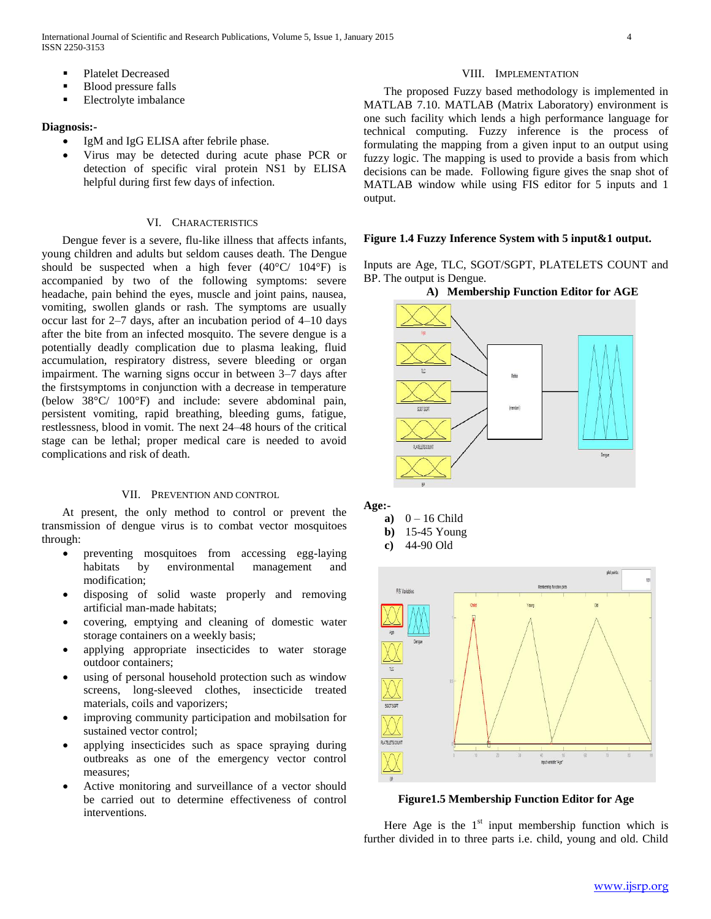- Platelet Decreased
- Blood pressure falls
- **Electrolyte imbalance**

## **Diagnosis:-**

- IgM and IgG ELISA after febrile phase.
- Virus may be detected during acute phase PCR or detection of specific viral protein NS1 by ELISA helpful during first few days of infection.

## VI. CHARACTERISTICS

 Dengue fever is a severe, flu-like illness that affects infants, young children and adults but seldom causes death. The Dengue should be suspected when a high fever  $(40^{\circ}C/ 104^{\circ}F)$  is accompanied by two of the following symptoms: severe headache, pain behind the eyes, muscle and joint pains, nausea, vomiting, swollen glands or rash. The symptoms are usually occur last for 2–7 days, after an incubation period of 4–10 days after the bite from an infected mosquito. The severe dengue is a potentially deadly complication due to plasma leaking, fluid accumulation, respiratory distress, severe bleeding or organ impairment. The warning signs occur in between 3–7 days after the firstsymptoms in conjunction with a decrease in temperature (below 38°C/ 100°F) and include: severe abdominal pain, persistent vomiting, rapid breathing, bleeding gums, fatigue, restlessness, blood in vomit. The next 24–48 hours of the critical stage can be lethal; proper medical care is needed to avoid complications and risk of death.

## VII. PREVENTION AND CONTROL

 At present, the only method to control or prevent the transmission of dengue virus is to combat vector mosquitoes through:

- preventing mosquitoes from accessing egg-laying habitats by environmental management and modification;
- disposing of solid waste properly and removing artificial man-made habitats;
- covering, emptying and cleaning of domestic water storage containers on a weekly basis;
- applying appropriate insecticides to water storage outdoor containers;
- using of personal household protection such as window screens, long-sleeved clothes, insecticide treated materials, coils and vaporizers;
- improving community participation and mobilsation for sustained vector control;
- applying insecticides such as space spraying during outbreaks as one of the emergency vector control measures;
- Active monitoring and surveillance of a vector should be carried out to determine effectiveness of control interventions.

#### VIII. IMPLEMENTATION

 The proposed Fuzzy based methodology is implemented in MATLAB 7.10. MATLAB (Matrix Laboratory) environment is one such facility which lends a high performance language for technical computing. Fuzzy inference is the process of formulating the mapping from a given input to an output using fuzzy logic. The mapping is used to provide a basis from which decisions can be made. Following figure gives the snap shot of MATLAB window while using FIS editor for 5 inputs and 1 output.

#### **Figure 1.4 Fuzzy Inference System with 5 input&1 output.**

Inputs are Age, TLC, SGOT/SGPT, PLATELETS COUNT and BP. The output is Dengue.

#### **A) Membership Function Editor for AGE**



**Age:-**

- **a**)  $0 16$  Child
- **b)** 15-45 Young
- **c)** 44-90 Old



**Figure1.5 Membership Function Editor for Age**

Here Age is the  $1<sup>st</sup>$  input membership function which is further divided in to three parts i.e. child, young and old. Child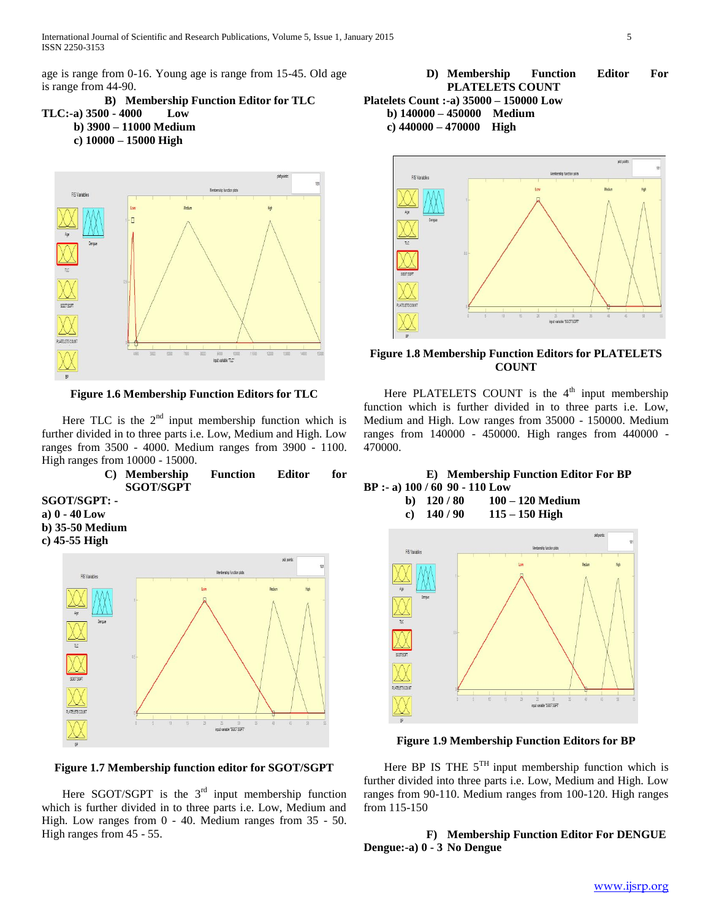age is range from 0-16. Young age is range from 15-45. Old age is range from 44-90.

**B) Membership Function Editor for TLC TLC:-a) 3500 - 4000 Low b) 3900 – 11000 Medium c) 10000 – 15000 High**



**Figure 1.6 Membership Function Editors for TLC**

Here TLC is the  $2<sup>nd</sup>$  input membership function which is further divided in to three parts i.e. Low, Medium and High. Low ranges from 3500 - 4000. Medium ranges from 3900 - 1100. High ranges from 10000 - 15000.

> **C) Membership Function Editor for SGOT/SGPT**

**SGOT/SGPT: a) 0 - 40 Low b) 35-50 Medium c) 45-55 High**



**Figure 1.7 Membership function editor for SGOT/SGPT**

Here SGOT/SGPT is the  $3<sup>rd</sup>$  input membership function which is further divided in to three parts i.e. Low, Medium and High. Low ranges from 0 - 40. Medium ranges from 35 - 50. High ranges from 45 - 55.





**Figure 1.8 Membership Function Editors for PLATELETS COUNT**

Here PLATELETS COUNT is the  $4<sup>th</sup>$  input membership function which is further divided in to three parts i.e. Low, Medium and High. Low ranges from 35000 - 150000. Medium ranges from 140000 - 450000. High ranges from 440000 - 470000.



**b) 120 / 80 100 – 120 Medium c) 140 / 90 115 – 150 High**



**Figure 1.9 Membership Function Editors for BP**

Here BP IS THE  $5^{TH}$  input membership function which is further divided into three parts i.e. Low, Medium and High. Low ranges from 90-110. Medium ranges from 100-120. High ranges from 115-150

**F) Membership Function Editor For DENGUE Dengue:-a) 0 - 3 No Dengue**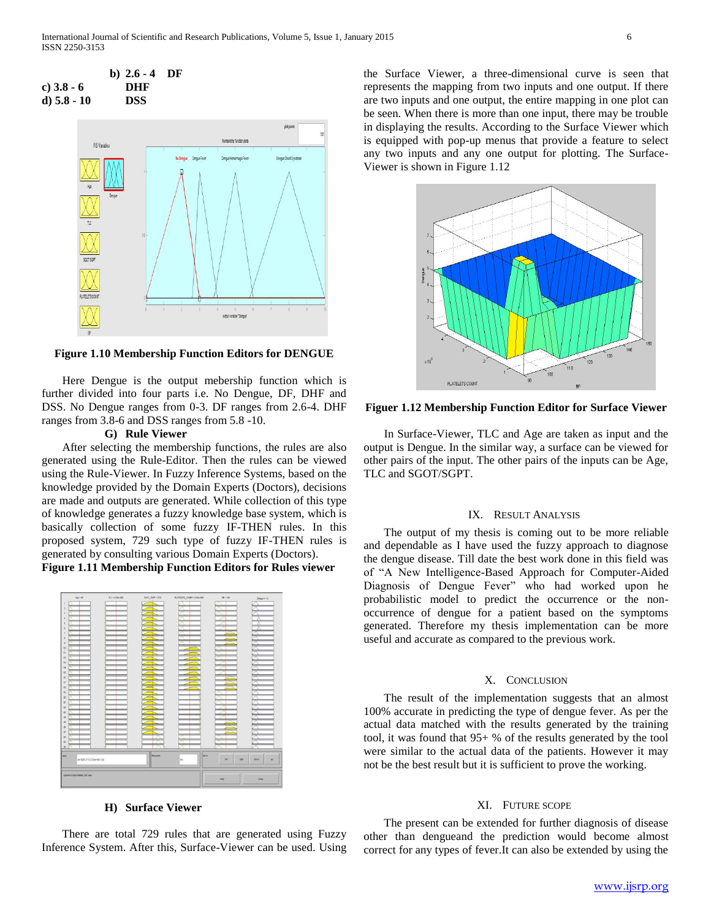



**Figure 1.10 Membership Function Editors for DENGUE**

 Here Dengue is the output mebership function which is further divided into four parts i.e. No Dengue, DF, DHF and DSS. No Dengue ranges from 0-3. DF ranges from 2.6-4. DHF ranges from 3.8-6 and DSS ranges from 5.8 -10.

## **G) Rule Viewer**

 After selecting the membership functions, the rules are also generated using the Rule-Editor. Then the rules can be viewed using the Rule-Viewer. In Fuzzy Inference Systems, based on the knowledge provided by the Domain Experts (Doctors), decisions are made and outputs are generated. While collection of this type of knowledge generates a fuzzy knowledge base system, which is basically collection of some fuzzy IF-THEN rules. In this proposed system, 729 such type of fuzzy IF-THEN rules is generated by consulting various Domain Experts (Doctors). **Figure 1.11 Membership Function Editors for Rules viewer**



#### **H) Surface Viewer**

 There are total 729 rules that are generated using Fuzzy Inference System. After this, Surface-Viewer can be used. Using the Surface Viewer, a three-dimensional curve is seen that represents the mapping from two inputs and one output. If there are two inputs and one output, the entire mapping in one plot can be seen. When there is more than one input, there may be trouble in displaying the results. According to the Surface Viewer which is equipped with pop-up menus that provide a feature to select any two inputs and any one output for plotting. The Surface-Viewer is shown in Figure 1.12



**Figuer 1.12 Membership Function Editor for Surface Viewer**

 In Surface-Viewer, TLC and Age are taken as input and the output is Dengue. In the similar way, a surface can be viewed for other pairs of the input. The other pairs of the inputs can be Age, TLC and SGOT/SGPT.

#### IX. RESULT ANALYSIS

 The output of my thesis is coming out to be more reliable and dependable as I have used the fuzzy approach to diagnose the dengue disease. Till date the best work done in this field was of "A New Intelligence-Based Approach for Computer-Aided Diagnosis of Dengue Fever" who had worked upon he probabilistic model to predict the occurrence or the nonoccurrence of dengue for a patient based on the symptoms generated. Therefore my thesis implementation can be more useful and accurate as compared to the previous work.

#### X. CONCLUSION

 The result of the implementation suggests that an almost 100% accurate in predicting the type of dengue fever. As per the actual data matched with the results generated by the training tool, it was found that 95+ % of the results generated by the tool were similar to the actual data of the patients. However it may not be the best result but it is sufficient to prove the working.

## XI. FUTURE SCOPE

 The present can be extended for further diagnosis of disease other than dengueand the prediction would become almost correct for any types of fever.It can also be extended by using the